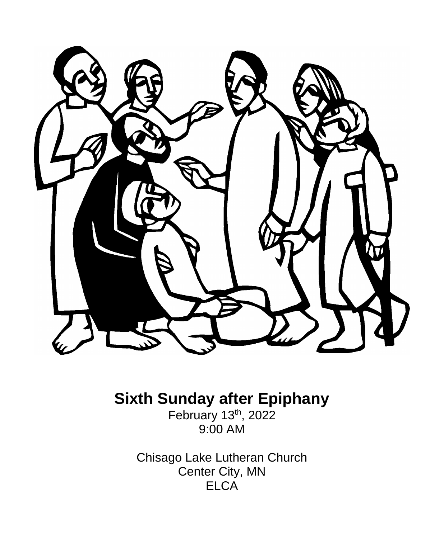

# **Sixth Sunday after Epiphany**

February 13th, 2022 9:00 AM

Chisago Lake Lutheran Church Center City, MN **ELCA**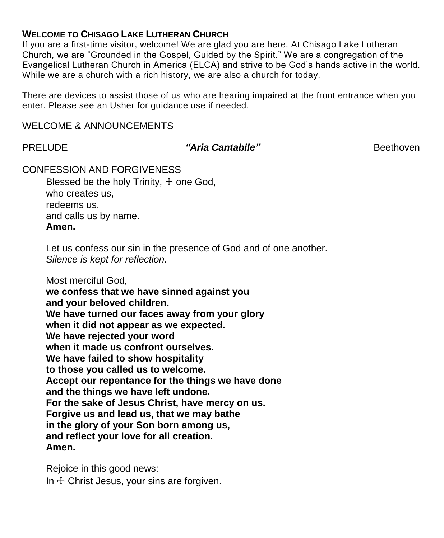#### **WELCOME TO CHISAGO LAKE LUTHERAN CHURCH**

If you are a first-time visitor, welcome! We are glad you are here. At Chisago Lake Lutheran Church, we are "Grounded in the Gospel, Guided by the Spirit." We are a congregation of the Evangelical Lutheran Church in America (ELCA) and strive to be God's hands active in the world. While we are a church with a rich history, we are also a church for today.

There are devices to assist those of us who are hearing impaired at the front entrance when you enter. Please see an Usher for guidance use if needed.

#### WELCOME & ANNOUNCEMENTS

### PRELUDE *"Aria Cantabile"* Beethoven

#### CONFESSION AND FORGIVENESS

Blessed be the holy Trinity,  $+$  one God, who creates us, redeems us, and calls us by name. **Amen.**

Let us confess our sin in the presence of God and of one another. *Silence is kept for reflection.*

Most merciful God,

**we confess that we have sinned against you and your beloved children.**

**We have turned our faces away from your glory**

**when it did not appear as we expected.**

**We have rejected your word**

**when it made us confront ourselves.**

**We have failed to show hospitality**

**to those you called us to welcome.**

**Accept our repentance for the things we have done**

**and the things we have left undone.**

**For the sake of Jesus Christ, have mercy on us.**

**Forgive us and lead us, that we may bathe**

**in the glory of your Son born among us,**

**and reflect your love for all creation.**

**Amen.**

Rejoice in this good news: In  $+$  Christ Jesus, your sins are forgiven.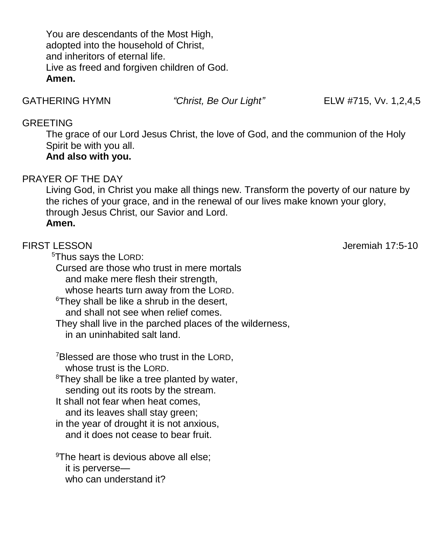You are descendants of the Most High, adopted into the household of Christ, and inheritors of eternal life. Live as freed and forgiven children of God. **Amen.**

GATHERING HYMN *"Christ, Be Our Light"* ELW #715, Vv. 1,2,4,5

### GREETING

The grace of our Lord Jesus Christ, the love of God, and the communion of the Holy Spirit be with you all. **And also with you.**

# PRAYER OF THE DAY

Living God, in Christ you make all things new. Transform the poverty of our nature by the riches of your grace, and in the renewal of our lives make known your glory, through Jesus Christ, our Savior and Lord. **Amen.**

FIRST LESSON Jeremiah 17:5-10

 <sup>5</sup>Thus says the LORD: Cursed are those who trust in mere mortals and make mere flesh their strength, whose hearts turn away from the LORD. <sup>6</sup>They shall be like a shrub in the desert, and shall not see when relief comes. They shall live in the parched places of the wilderness, in an uninhabited salt land. <sup>7</sup>Blessed are those who trust in the LORD, whose trust is the LORD. <sup>8</sup>They shall be like a tree planted by water, sending out its roots by the stream. It shall not fear when heat comes, and its leaves shall stay green; in the year of drought it is not anxious,

and it does not cease to bear fruit.

<sup>9</sup>The heart is devious above all else; it is perverse who can understand it?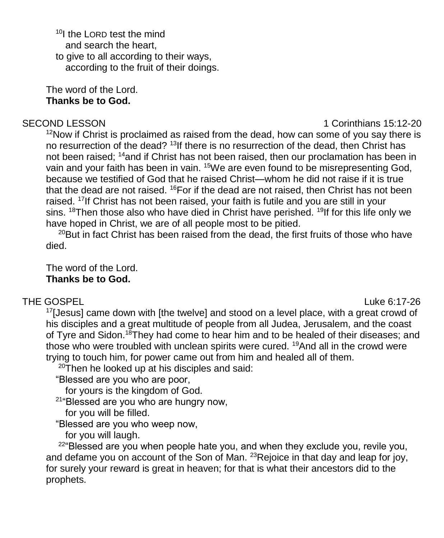<sup>10</sup>I the LORD test the mind and search the heart, to give to all according to their ways, according to the fruit of their doings.

The word of the Lord. **Thanks be to God.**

#### SECOND LESSON **1** Corinthians 15:12-20

 $12$ Now if Christ is proclaimed as raised from the dead, how can some of you say there is no resurrection of the dead? <sup>13</sup>If there is no resurrection of the dead, then Christ has not been raised; <sup>14</sup>and if Christ has not been raised, then our proclamation has been in vain and your faith has been in vain. <sup>15</sup>We are even found to be misrepresenting God, because we testified of God that he raised Christ—whom he did not raise if it is true that the dead are not raised. <sup>16</sup>For if the dead are not raised, then Christ has not been raised. <sup>17</sup>If Christ has not been raised, your faith is futile and you are still in your sins.  $18$ Then those also who have died in Christ have perished.  $19$ If for this life only we have hoped in Christ, we are of all people most to be pitied.

 $20$ But in fact Christ has been raised from the dead, the first fruits of those who have died.

The word of the Lord. **Thanks be to God.**

# THE GOSPEL **Example 2:00** and 2:00 and 2:00 and 2:00 and 2:00 and 2:00 and 2:00 and 2:00 and 2:00 and 2:00 and 2:00 and 2:00 and 2:00 and 2:00 and 2:00 and 2:00 and 2:00 and 2:00 and 2:00 and 2:00 and 2:00 and 2:00 and 2:0

<sup>17</sup>[Jesus] came down with [the twelve] and stood on a level place, with a great crowd of his disciples and a great multitude of people from all Judea, Jerusalem, and the coast of Tyre and Sidon.<sup>18</sup>They had come to hear him and to be healed of their diseases; and those who were troubled with unclean spirits were cured. <sup>19</sup>And all in the crowd were trying to touch him, for power came out from him and healed all of them.

 $20$ Then he looked up at his disciples and said:

"Blessed are you who are poor,

for yours is the kingdom of God.

<sup>21</sup>"Blessed are you who are hungry now,

for you will be filled.

"Blessed are you who weep now,

for you will laugh.

 $22^{\circ}$ Blessed are you when people hate you, and when they exclude you, revile you, and defame you on account of the Son of Man.  $^{23}$ Rejoice in that day and leap for joy, for surely your reward is great in heaven; for that is what their ancestors did to the prophets.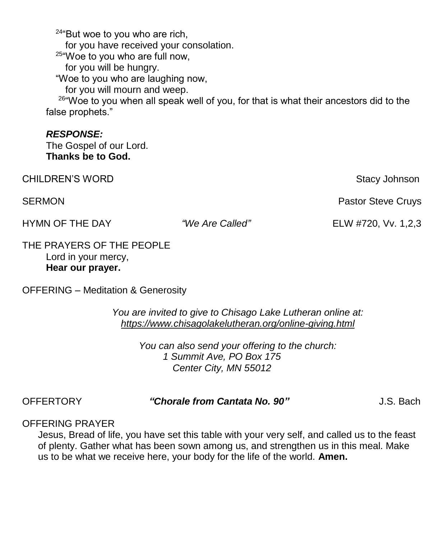$24$ "But woe to you who are rich, for you have received your consolation. 25"Woe to you who are full now, for you will be hungry. "Woe to you who are laughing now, for you will mourn and weep.

<sup>26</sup>"Woe to you when all speak well of you, for that is what their ancestors did to the false prophets."

#### *RESPONSE:*

The Gospel of our Lord. **Thanks be to God.**

CHILDREN'S WORD **Stacy Johnson** Stacy Johnson

HYMN OF THE DAY *"We Are Called"* ELW #720, Vv. 1,2,3

SERMON **Pastor Steve Cruys Pastor Steve Cruys Pastor Steve Cruys** 

THE PRAYERS OF THE PEOPLE Lord in your mercy, **Hear our prayer.**

OFFERING – Meditation & Generosity

*You are invited to give to Chisago Lake Lutheran online at: <https://www.chisagolakelutheran.org/online-giving.html>*

> *You can also send your offering to the church: 1 Summit Ave, PO Box 175 Center City, MN 55012*

# OFFERTORY *"Chorale from Cantata No. 90"* J.S. Bach

### OFFERING PRAYER

Jesus, Bread of life, you have set this table with your very self, and called us to the feast of plenty. Gather what has been sown among us, and strengthen us in this meal. Make us to be what we receive here, your body for the life of the world. **Amen.**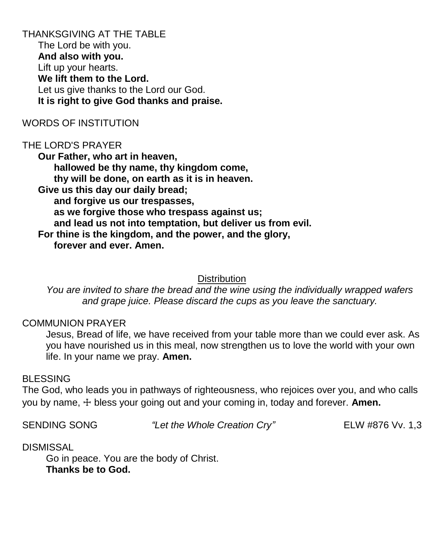THANKSGIVING AT THE TABLE The Lord be with you. **And also with you.** Lift up your hearts. **We lift them to the Lord.** Let us give thanks to the Lord our God. **It is right to give God thanks and praise.**

#### WORDS OF INSTITUTION

#### THE LORD'S PRAYER

**Our Father, who art in heaven, hallowed be thy name, thy kingdom come, thy will be done, on earth as it is in heaven. Give us this day our daily bread; and forgive us our trespasses, as we forgive those who trespass against us; and lead us not into temptation, but deliver us from evil. For thine is the kingdom, and the power, and the glory, forever and ever. Amen.**

#### **Distribution**

*You are invited to share the bread and the wine using the individually wrapped wafers and grape juice. Please discard the cups as you leave the sanctuary.*

#### COMMUNION PRAYER

Jesus, Bread of life, we have received from your table more than we could ever ask. As you have nourished us in this meal, now strengthen us to love the world with your own life. In your name we pray. **Amen.**

#### BLESSING

The God, who leads you in pathways of righteousness, who rejoices over you, and who calls you by name, ☩ bless your going out and your coming in, today and forever. **Amen.**

SENDING SONG *"Let the Whole Creation Cry"* ELW #876 Vv. 1,3

#### DISMISSAL

Go in peace. You are the body of Christ. **Thanks be to God.**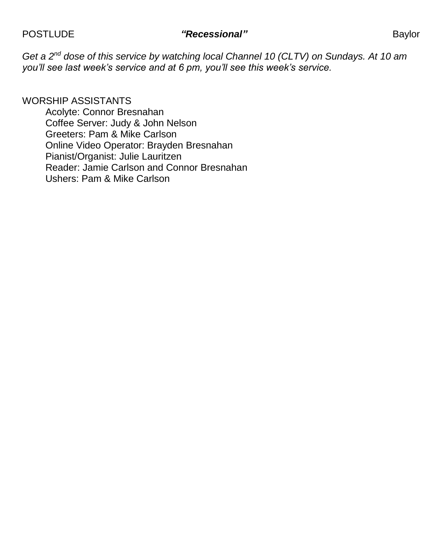# POSTLUDE *"Recessional"* Baylor

*Get a 2nd dose of this service by watching local Channel 10 (CLTV) on Sundays. At 10 am you'll see last week's service and at 6 pm, you'll see this week's service.*

#### WORSHIP ASSISTANTS

Acolyte: Connor Bresnahan Coffee Server: Judy & John Nelson Greeters: Pam & Mike Carlson Online Video Operator: Brayden Bresnahan Pianist/Organist: Julie Lauritzen Reader: Jamie Carlson and Connor Bresnahan Ushers: Pam & Mike Carlson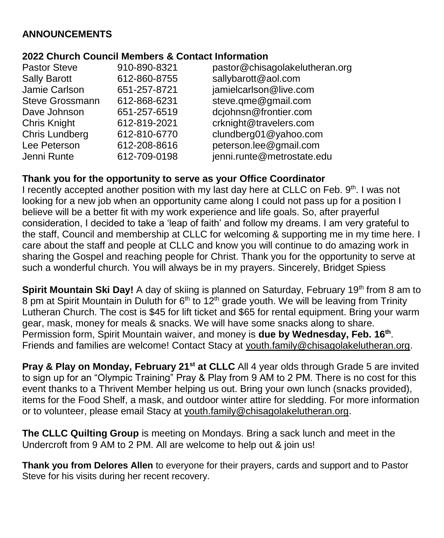# **ANNOUNCEMENTS**

#### **2022 Church Council Members & Contact Information**

| <b>Pastor Steve</b><br><b>Sally Barott</b><br>Jamie Carlson<br><b>Steve Grossmann</b><br>Dave Johnson<br>Chris Knight<br>Chris Lundberg<br>Lee Peterson | 910-890-8321<br>612-860-8755<br>651-257-8721<br>612-868-6231<br>651-257-6519<br>612-819-2021<br>612-810-6770<br>612-208-8616 | pastor@chisagolakelutheran.org<br>sallybarott@aol.com<br>jamielcarlson@live.com<br>steve.qme@gmail.com<br>dcjohnsn@frontier.com<br>crknight@travelers.com<br>clundberg01@yahoo.com<br>peterson.lee@gmail.com |
|---------------------------------------------------------------------------------------------------------------------------------------------------------|------------------------------------------------------------------------------------------------------------------------------|--------------------------------------------------------------------------------------------------------------------------------------------------------------------------------------------------------------|
| Jenni Runte                                                                                                                                             | 612-709-0198                                                                                                                 | jenni.runte@metrostate.edu                                                                                                                                                                                   |
|                                                                                                                                                         |                                                                                                                              |                                                                                                                                                                                                              |

# **Thank you for the opportunity to serve as your Office Coordinator**

I recently accepted another position with my last day here at CLLC on Feb. 9<sup>th</sup>. I was not looking for a new job when an opportunity came along I could not pass up for a position I believe will be a better fit with my work experience and life goals. So, after prayerful consideration, I decided to take a 'leap of faith' and follow my dreams. I am very grateful to the staff, Council and membership at CLLC for welcoming & supporting me in my time here. I care about the staff and people at CLLC and know you will continue to do amazing work in sharing the Gospel and reaching people for Christ. Thank you for the opportunity to serve at such a wonderful church. You will always be in my prayers. Sincerely, Bridget Spiess

Spirit Mountain Ski Day! A day of skiing is planned on Saturday, February 19<sup>th</sup> from 8 am to 8 pm at Spirit Mountain in Duluth for  $6<sup>th</sup>$  to 12<sup>th</sup> grade youth. We will be leaving from Trinity Lutheran Church. The cost is \$45 for lift ticket and \$65 for rental equipment. Bring your warm gear, mask, money for meals & snacks. We will have some snacks along to share. Permission form, Spirit Mountain waiver, and money is **due by Wednesday, Feb. 16th** . Friends and families are welcome! Contact Stacy at [youth.family@chisagolakelutheran.org.](mailto:youth.family@chisagolakelutheran.org)

**Pray & Play on Monday, February 21st at CLLC** All 4 year olds through Grade 5 are invited to sign up for an "Olympic Training" Pray & Play from 9 AM to 2 PM. There is no cost for this event thanks to a Thrivent Member helping us out. Bring your own lunch (snacks provided), items for the Food Shelf, a mask, and outdoor winter attire for sledding. For more information or to volunteer, please email Stacy at youth.family@chisagolakelutheran.org.

**The CLLC Quilting Group** is meeting on Mondays. Bring a sack lunch and meet in the Undercroft from 9 AM to 2 PM. All are welcome to help out & join us!

**Thank you from Delores Allen** to everyone for their prayers, cards and support and to Pastor Steve for his visits during her recent recovery.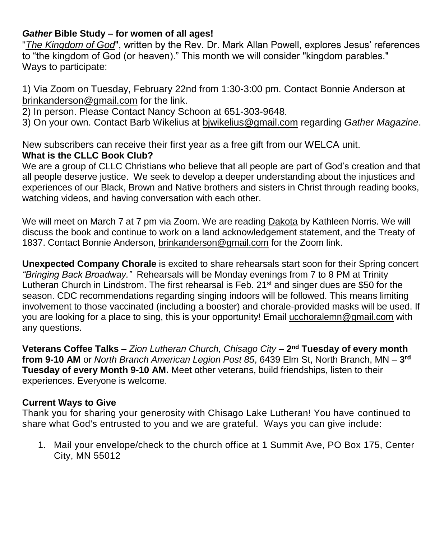## *Gather* **Bible Study – for women of all ages!**

"*The Kingdom of God*", written by the Rev. Dr. Mark Allan Powell, explores Jesus' references to "the kingdom of God (or heaven)." This month we will consider "kingdom parables." Ways to participate:

1) Via Zoom on Tuesday, February 22nd from 1:30-3:00 pm. Contact Bonnie Anderson at brinkanderson@gmail.com for the link.

2) In person. Please Contact Nancy Schoon at 651-303-9648.

3) On your own. Contact Barb Wikelius at bjwikelius@gmail.com regarding *Gather Magazine*.

New subscribers can receive their first year as a free gift from our WELCA unit. **What is the CLLC Book Club?**

We are a group of CLLC Christians who believe that all people are part of God's creation and that all people deserve justice. We seek to develop a deeper understanding about the injustices and experiences of our Black, Brown and Native brothers and sisters in Christ through reading books, watching videos, and having conversation with each other.

We will meet on March 7 at 7 pm via Zoom. We are reading Dakota by Kathleen Norris. We will discuss the book and continue to work on a land acknowledgement statement, and the Treaty of 1837. Contact Bonnie Anderson, [brinkanderson@gmail.com](mailto:brinkanderson@gmail.com) for the Zoom link.

**Unexpected Company Chorale** is excited to share rehearsals start soon for their Spring concert *"Bringing Back Broadway."* Rehearsals will be Monday evenings from 7 to 8 PM at Trinity Lutheran Church in Lindstrom. The first rehearsal is Feb.  $21<sup>st</sup>$  and singer dues are \$50 for the season. CDC recommendations regarding singing indoors will be followed. This means limiting involvement to those vaccinated (including a booster) and chorale-provided masks will be used. If you are looking for a place to sing, this is your opportunity! Email [ucchoralemn@gmail.com](mailto:ucchoralemn@gmail.com) with any questions.

**Veterans Coffee Talks** – *Zion Lutheran Church, Chisago City* – **2 nd Tuesday of every month from 9-10 AM** or *North Branch American Legion Post 85*, 6439 Elm St, North Branch, MN – **3 rd Tuesday of every Month 9-10 AM.** Meet other veterans, build friendships, listen to their experiences. Everyone is welcome.

# **Current Ways to Give**

Thank you for sharing your generosity with Chisago Lake Lutheran! You have continued to share what God's entrusted to you and we are grateful. Ways you can give include:

1. Mail your envelope/check to the church office at 1 Summit Ave, PO Box 175, Center City, MN 55012